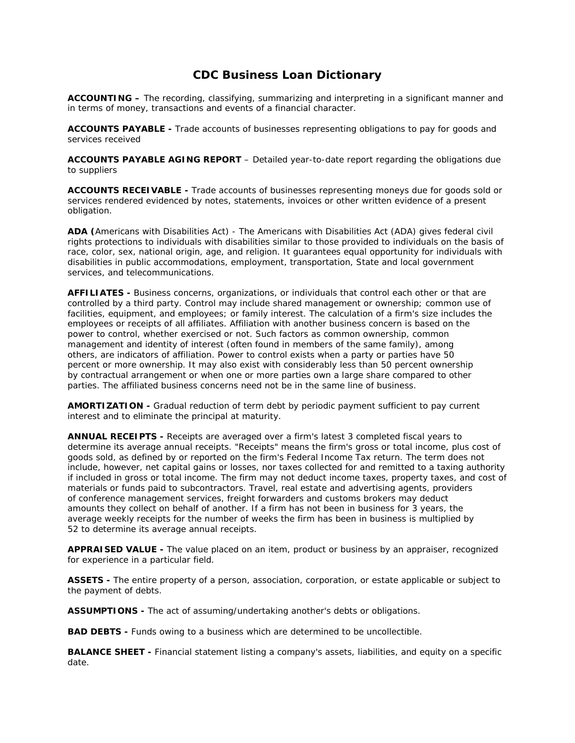## **CDC Business Loan Dictionary**

**ACCOUNTING –** The recording, classifying, summarizing and interpreting in a significant manner and in terms of money, transactions and events of a financial character.

**ACCOUNTS PAYABLE -** Trade accounts of businesses representing obligations to pay for goods and services received

**ACCOUNTS PAYABLE AGING REPORT** – Detailed year-to-date report regarding the obligations due to suppliers

**ACCOUNTS RECEIVABLE -** Trade accounts of businesses representing moneys due for goods sold or services rendered evidenced by notes, statements, invoices or other written evidence of a present obligation.

**ADA (**Americans with Disabilities Act) - The Americans with Disabilities Act (ADA) gives federal civil rights protections to individuals with disabilities similar to those provided to individuals on the basis of race, color, sex, national origin, age, and religion. It guarantees equal opportunity for individuals with disabilities in public accommodations, employment, transportation, State and local government services, and telecommunications.

**AFFILIATES -** Business concerns, organizations, or individuals that control each other or that are controlled by a third party. Control may include shared management or ownership; common use of facilities, equipment, and employees; or family interest. The calculation of a firm's size includes the employees or receipts of all affiliates. Affiliation with another business concern is based on the power to control, whether exercised or not. Such factors as common ownership, common management and identity of interest (often found in members of the same family), among others, are indicators of affiliation. Power to control exists when a party or parties have 50 percent or more ownership. It may also exist with considerably less than 50 percent ownership by contractual arrangement or when one or more parties own a large share compared to other parties. The affiliated business concerns need not be in the same line of business.

**AMORTIZATION -** Gradual reduction of term debt by periodic payment sufficient to pay current interest and to eliminate the principal at maturity.

**ANNUAL RECEIPTS -** Receipts are averaged over a firm's latest 3 completed fiscal years to determine its average annual receipts. "Receipts" means the firm's gross or total income, plus cost of goods sold, as defined by or reported on the firm's Federal Income Tax return. The term does not include, however, net capital gains or losses, nor taxes collected for and remitted to a taxing authority if included in gross or total income. The firm may not deduct income taxes, property taxes, and cost of materials or funds paid to subcontractors. Travel, real estate and advertising agents, providers of conference management services, freight forwarders and customs brokers may deduct amounts they collect on behalf of another. If a firm has not been in business for 3 years, the average weekly receipts for the number of weeks the firm has been in business is multiplied by 52 to determine its average annual receipts.

**APPRAISED VALUE -** The value placed on an item, product or business by an appraiser, recognized for experience in a particular field.

**ASSETS -** The entire property of a person, association, corporation, or estate applicable or subject to the payment of debts.

**ASSUMPTIONS -** The act of assuming/undertaking another's debts or obligations.

**BAD DEBTS -** Funds owing to a business which are determined to be uncollectible.

**BALANCE SHEET -** Financial statement listing a company's assets, liabilities, and equity on a specific date.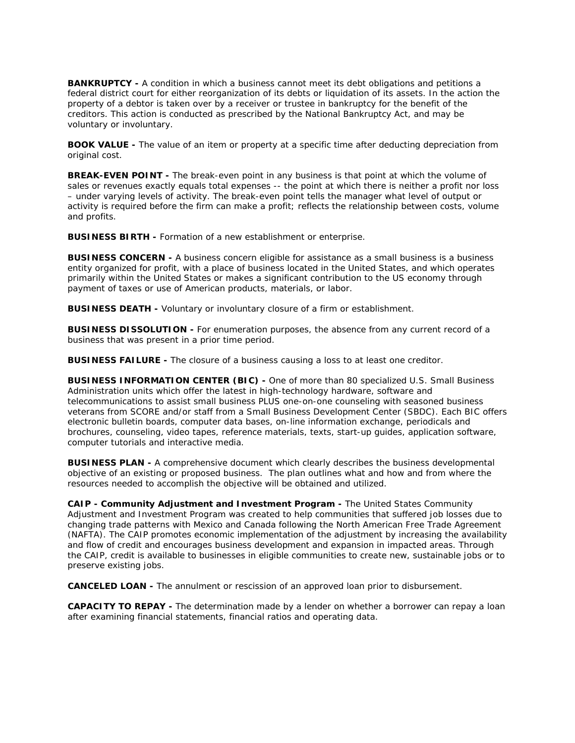**BANKRUPTCY -** A condition in which a business cannot meet its debt obligations and petitions a federal district court for either reorganization of its debts or liquidation of its assets. In the action the property of a debtor is taken over by a receiver or trustee in bankruptcy for the benefit of the creditors. This action is conducted as prescribed by the National Bankruptcy Act, and may be voluntary or involuntary.

**BOOK VALUE -** The value of an item or property at a specific time after deducting depreciation from original cost.

**BREAK-EVEN POINT -** The break-even point in any business is that point at which the volume of sales or revenues exactly equals total expenses -- the point at which there is neither a profit nor loss – under varying levels of activity. The break-even point tells the manager what level of output or activity is required before the firm can make a profit; reflects the relationship between costs, volume and profits.

**BUSINESS BIRTH -** Formation of a new establishment or enterprise.

**BUSINESS CONCERN -** A business concern eligible for assistance as a small business is a business entity organized for profit, with a place of business located in the United States, and which operates primarily within the United States or makes a significant contribution to the US economy through payment of taxes or use of American products, materials, or labor.

**BUSINESS DEATH -** Voluntary or involuntary closure of a firm or establishment.

**BUSINESS DISSOLUTION -** For enumeration purposes, the absence from any current record of a business that was present in a prior time period.

**BUSINESS FAILURE -** The closure of a business causing a loss to at least one creditor.

**BUSINESS INFORMATION CENTER (BIC) -** One of more than 80 specialized U.S. Small Business Administration units which offer the latest in high-technology hardware, software and telecommunications to assist small business PLUS one-on-one counseling with seasoned business veterans from SCORE and/or staff from a Small Business Development Center (SBDC). Each BIC offers electronic bulletin boards, computer data bases, on-line information exchange, periodicals and brochures, counseling, video tapes, reference materials, texts, start-up guides, application software, computer tutorials and interactive media.

**BUSINESS PLAN -** A comprehensive document which clearly describes the business developmental objective of an existing or proposed business. The plan outlines what and how and from where the resources needed to accomplish the objective will be obtained and utilized.

**CAIP - Community Adjustment and Investment Program -** The United States Community Adjustment and Investment Program was created to help communities that suffered job losses due to changing trade patterns with Mexico and Canada following the North American Free Trade Agreement (NAFTA). The CAIP promotes economic implementation of the adjustment by increasing the availability and flow of credit and encourages business development and expansion in impacted areas. Through the CAIP, credit is available to businesses in eligible communities to create new, sustainable jobs or to preserve existing jobs.

**CANCELED LOAN -** The annulment or rescission of an approved loan prior to disbursement.

**CAPACITY TO REPAY -** The determination made by a lender on whether a borrower can repay a loan after examining financial statements, financial ratios and operating data.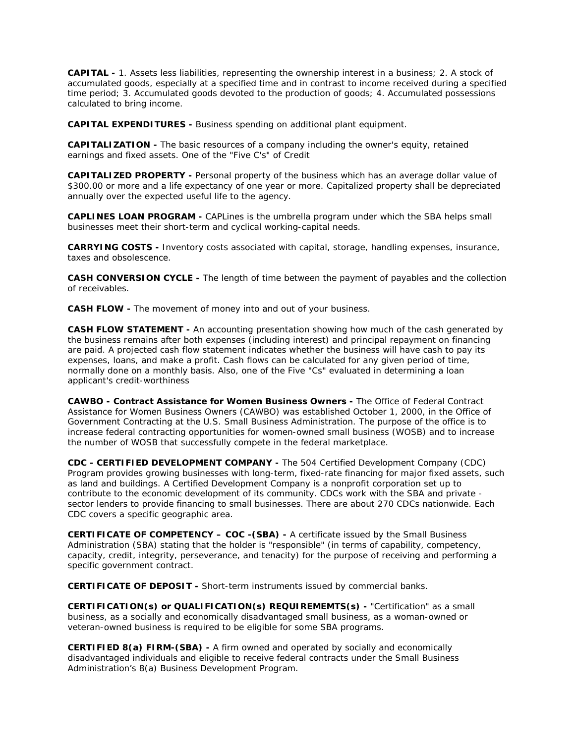**CAPITAL -** 1. Assets less liabilities, representing the ownership interest in a business; 2. A stock of accumulated goods, especially at a specified time and in contrast to income received during a specified time period; 3. Accumulated goods devoted to the production of goods; 4. Accumulated possessions calculated to bring income.

**CAPITAL EXPENDITURES -** Business spending on additional plant equipment.

**CAPITALIZATION -** The basic resources of a company including the owner's equity, retained earnings and fixed assets. One of the "Five C's" of Credit

**CAPITALIZED PROPERTY -** Personal property of the business which has an average dollar value of \$300.00 or more and a life expectancy of one year or more. Capitalized property shall be depreciated annually over the expected useful life to the agency.

**CAPLINES LOAN PROGRAM -** CAPLines is the umbrella program under which the SBA helps small businesses meet their short-term and cyclical working-capital needs.

**CARRYING COSTS -** Inventory costs associated with capital, storage, handling expenses, insurance, taxes and obsolescence.

**CASH CONVERSION CYCLE -** The length of time between the payment of payables and the collection of receivables.

**CASH FLOW -** The movement of money into and out of your business.

**CASH FLOW STATEMENT -** An accounting presentation showing how much of the cash generated by the business remains after both expenses (including interest) and principal repayment on financing are paid. A projected cash flow statement indicates whether the business will have cash to pay its expenses, loans, and make a profit. Cash flows can be calculated for any given period of time, normally done on a monthly basis. Also, one of the Five "Cs" evaluated in determining a loan applicant's credit-worthiness

**CAWBO - Contract Assistance for Women Business Owners -** The Office of Federal Contract Assistance for Women Business Owners (CAWBO) was established October 1, 2000, in the Office of Government Contracting at the U.S. Small Business Administration. The purpose of the office is to increase federal contracting opportunities for women-owned small business (WOSB) and to increase the number of WOSB that successfully compete in the federal marketplace.

**CDC - CERTIFIED DEVELOPMENT COMPANY -** The 504 Certified Development Company (CDC) Program provides growing businesses with long-term, fixed-rate financing for major fixed assets, such as land and buildings. A Certified Development Company is a nonprofit corporation set up to contribute to the economic development of its community. CDCs work with the SBA and private sector lenders to provide financing to small businesses. There are about 270 CDCs nationwide. Each CDC covers a specific geographic area.

**CERTIFICATE OF COMPETENCY – COC -(SBA) -** A certificate issued by the Small Business Administration (SBA) stating that the holder is "responsible" (in terms of capability, competency, capacity, credit, integrity, perseverance, and tenacity) for the purpose of receiving and performing a specific government contract.

**CERTIFICATE OF DEPOSIT -** Short-term instruments issued by commercial banks.

**CERTIFICATION(s) or QUALIFICATION(s) REQUIREMEMTS(s) -** "Certification" as a small business, as a socially and economically disadvantaged small business, as a woman-owned or veteran-owned business is required to be eligible for some SBA programs.

**CERTIFIED 8(a) FIRM-(SBA) -** A firm owned and operated by socially and economically disadvantaged individuals and eligible to receive federal contracts under the Small Business Administration's 8(a) Business Development Program.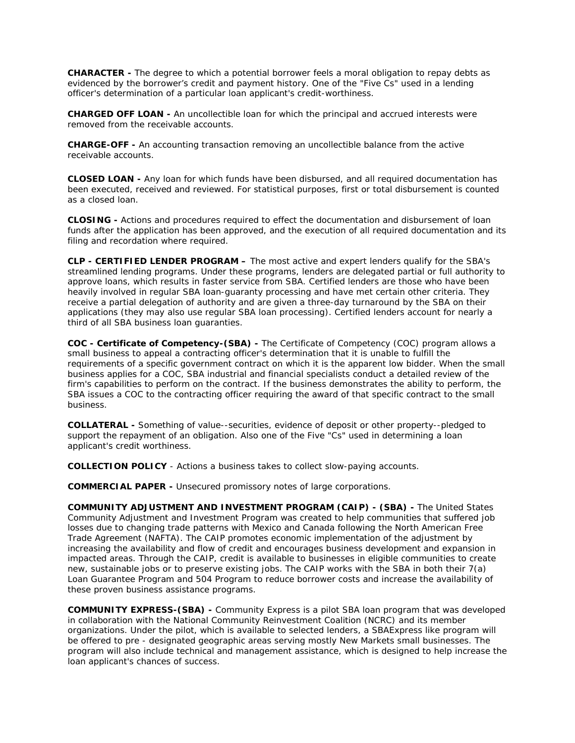**CHARACTER -** The degree to which a potential borrower feels a moral obligation to repay debts as evidenced by the borrower's credit and payment history. One of the "Five Cs" used in a lending officer's determination of a particular loan applicant's credit-worthiness.

**CHARGED OFF LOAN -** An uncollectible loan for which the principal and accrued interests were removed from the receivable accounts.

**CHARGE-OFF -** An accounting transaction removing an uncollectible balance from the active receivable accounts.

**CLOSED LOAN -** Any loan for which funds have been disbursed, and all required documentation has been executed, received and reviewed. For statistical purposes, first or total disbursement is counted as a closed loan.

**CLOSING -** Actions and procedures required to effect the documentation and disbursement of loan funds after the application has been approved, and the execution of all required documentation and its filing and recordation where required.

**CLP - CERTIFIED LENDER PROGRAM –** The most active and expert lenders qualify for the SBA's streamlined lending programs. Under these programs, lenders are delegated partial or full authority to approve loans, which results in faster service from SBA. Certified lenders are those who have been heavily involved in regular SBA loan-guaranty processing and have met certain other criteria. They receive a partial delegation of authority and are given a three-day turnaround by the SBA on their applications (they may also use regular SBA loan processing). Certified lenders account for nearly a third of all SBA business loan guaranties.

**COC - Certificate of Competency-(SBA) -** The Certificate of Competency (COC) program allows a small business to appeal a contracting officer's determination that it is unable to fulfill the requirements of a specific government contract on which it is the apparent low bidder. When the small business applies for a COC, SBA industrial and financial specialists conduct a detailed review of the firm's capabilities to perform on the contract. If the business demonstrates the ability to perform, the SBA issues a COC to the contracting officer requiring the award of that specific contract to the small business.

**COLLATERAL -** Something of value--securities, evidence of deposit or other property--pledged to support the repayment of an obligation. Also one of the Five "Cs" used in determining a loan applicant's credit worthiness.

**COLLECTION POLICY** - Actions a business takes to collect slow-paying accounts.

**COMMERCIAL PAPER -** Unsecured promissory notes of large corporations.

**COMMUNITY ADJUSTMENT AND INVESTMENT PROGRAM (CAIP) - (SBA) -** The United States Community Adjustment and Investment Program was created to help communities that suffered job losses due to changing trade patterns with Mexico and Canada following the North American Free Trade Agreement (NAFTA). The CAIP promotes economic implementation of the adjustment by increasing the availability and flow of credit and encourages business development and expansion in impacted areas. Through the CAIP, credit is available to businesses in eligible communities to create new, sustainable jobs or to preserve existing jobs. The CAIP works with the SBA in both their 7(a) Loan Guarantee Program and 504 Program to reduce borrower costs and increase the availability of these proven business assistance programs.

**COMMUNITY EXPRESS-(SBA) -** Community Express is a pilot SBA loan program that was developed in collaboration with the National Community Reinvestment Coalition (NCRC) and its member organizations. Under the pilot, which is available to selected lenders, a SBAExpress like program will be offered to pre - designated geographic areas serving mostly New Markets small businesses. The program will also include technical and management assistance, which is designed to help increase the loan applicant's chances of success.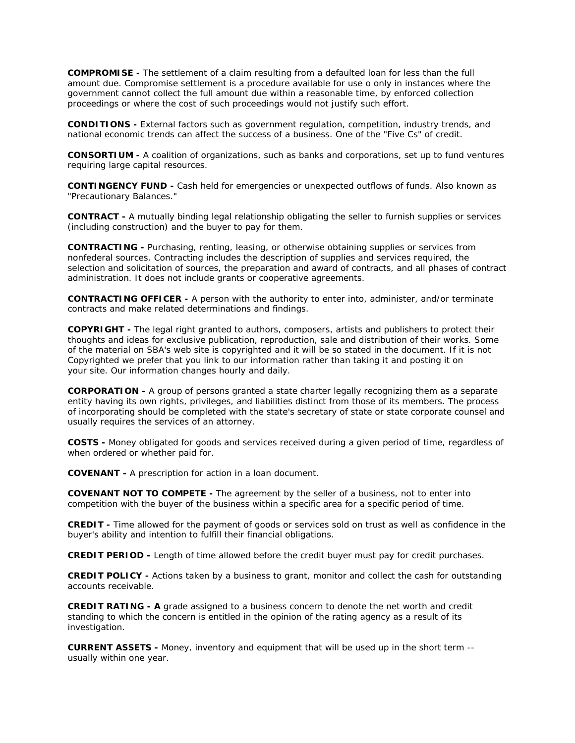**COMPROMISE -** The settlement of a claim resulting from a defaulted loan for less than the full amount due. Compromise settlement is a procedure available for use o only in instances where the government cannot collect the full amount due within a reasonable time, by enforced collection proceedings or where the cost of such proceedings would not justify such effort.

**CONDITIONS -** External factors such as government regulation, competition, industry trends, and national economic trends can affect the success of a business. One of the "Five Cs" of credit.

**CONSORTIUM -** A coalition of organizations, such as banks and corporations, set up to fund ventures requiring large capital resources.

**CONTINGENCY FUND -** Cash held for emergencies or unexpected outflows of funds. Also known as "Precautionary Balances."

**CONTRACT -** A mutually binding legal relationship obligating the seller to furnish supplies or services (including construction) and the buyer to pay for them.

**CONTRACTING -** Purchasing, renting, leasing, or otherwise obtaining supplies or services from nonfederal sources. Contracting includes the description of supplies and services required, the selection and solicitation of sources, the preparation and award of contracts, and all phases of contract administration. It does not include grants or cooperative agreements.

**CONTRACTING OFFICER -** A person with the authority to enter into, administer, and/or terminate contracts and make related determinations and findings.

**COPYRIGHT -** The legal right granted to authors, composers, artists and publishers to protect their thoughts and ideas for exclusive publication, reproduction, sale and distribution of their works. Some of the material on SBA's web site is copyrighted and it will be so stated in the document. If it is not Copyrighted we prefer that you link to our information rather than taking it and posting it on your site. Our information changes hourly and daily.

**CORPORATION -** A group of persons granted a state charter legally recognizing them as a separate entity having its own rights, privileges, and liabilities distinct from those of its members. The process of incorporating should be completed with the state's secretary of state or state corporate counsel and usually requires the services of an attorney.

**COSTS -** Money obligated for goods and services received during a given period of time, regardless of when ordered or whether paid for.

**COVENANT -** A prescription for action in a loan document.

**COVENANT NOT TO COMPETE -** The agreement by the seller of a business, not to enter into competition with the buyer of the business within a specific area for a specific period of time.

**CREDIT -** Time allowed for the payment of goods or services sold on trust as well as confidence in the buyer's ability and intention to fulfill their financial obligations.

**CREDIT PERIOD -** Length of time allowed before the credit buyer must pay for credit purchases.

**CREDIT POLICY -** Actions taken by a business to grant, monitor and collect the cash for outstanding accounts receivable.

**CREDIT RATING - A** grade assigned to a business concern to denote the net worth and credit standing to which the concern is entitled in the opinion of the rating agency as a result of its investigation.

**CURRENT ASSETS -** Money, inventory and equipment that will be used up in the short term - usually within one year.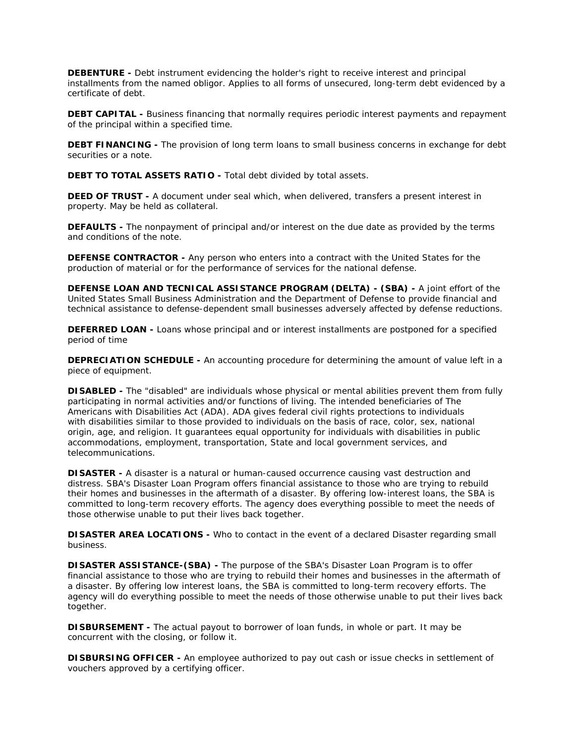**DEBENTURE -** Debt instrument evidencing the holder's right to receive interest and principal installments from the named obligor. Applies to all forms of unsecured, long-term debt evidenced by a certificate of debt.

**DEBT CAPITAL -** Business financing that normally requires periodic interest payments and repayment of the principal within a specified time.

**DEBT FINANCING -** The provision of long term loans to small business concerns in exchange for debt securities or a note.

**DEBT TO TOTAL ASSETS RATIO -** Total debt divided by total assets.

**DEED OF TRUST -** A document under seal which, when delivered, transfers a present interest in property. May be held as collateral.

**DEFAULTS -** The nonpayment of principal and/or interest on the due date as provided by the terms and conditions of the note.

**DEFENSE CONTRACTOR -** Any person who enters into a contract with the United States for the production of material or for the performance of services for the national defense.

**DEFENSE LOAN AND TECNICAL ASSISTANCE PROGRAM (DELTA) - (SBA) -** A joint effort of the United States Small Business Administration and the Department of Defense to provide financial and technical assistance to defense-dependent small businesses adversely affected by defense reductions.

**DEFERRED LOAN -** Loans whose principal and or interest installments are postponed for a specified period of time

**DEPRECIATION SCHEDULE -** An accounting procedure for determining the amount of value left in a piece of equipment.

**DISABLED -** The "disabled" are individuals whose physical or mental abilities prevent them from fully participating in normal activities and/or functions of living. The intended beneficiaries of The Americans with Disabilities Act (ADA). ADA gives federal civil rights protections to individuals with disabilities similar to those provided to individuals on the basis of race, color, sex, national origin, age, and religion. It guarantees equal opportunity for individuals with disabilities in public accommodations, employment, transportation, State and local government services, and telecommunications.

**DISASTER -** A disaster is a natural or human-caused occurrence causing vast destruction and distress. SBA's Disaster Loan Program offers financial assistance to those who are trying to rebuild their homes and businesses in the aftermath of a disaster. By offering low-interest loans, the SBA is committed to long-term recovery efforts. The agency does everything possible to meet the needs of those otherwise unable to put their lives back together.

**DISASTER AREA LOCATIONS -** Who to contact in the event of a declared Disaster regarding small business.

**DISASTER ASSISTANCE-(SBA) -** The purpose of the SBA's Disaster Loan Program is to offer financial assistance to those who are trying to rebuild their homes and businesses in the aftermath of a disaster. By offering low interest loans, the SBA is committed to long-term recovery efforts. The agency will do everything possible to meet the needs of those otherwise unable to put their lives back together.

**DISBURSEMENT -** The actual payout to borrower of loan funds, in whole or part. It may be concurrent with the closing, or follow it.

**DISBURSING OFFICER -** An employee authorized to pay out cash or issue checks in settlement of vouchers approved by a certifying officer.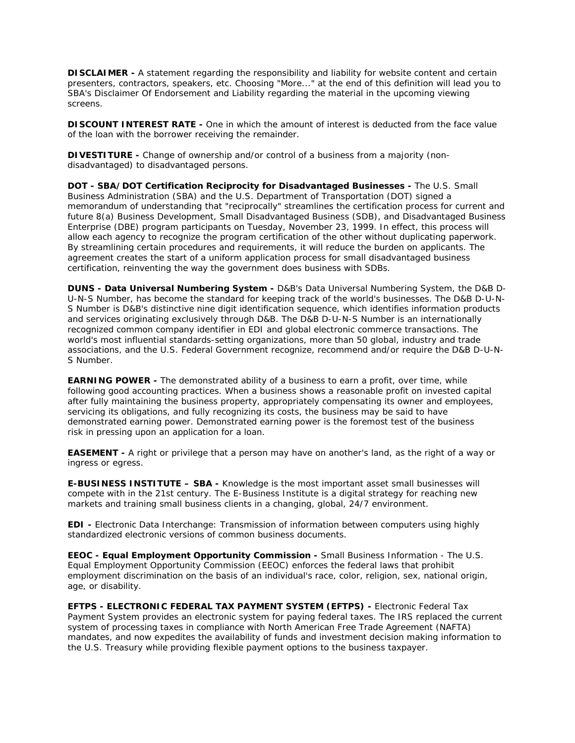**DISCLAIMER -** A statement regarding the responsibility and liability for website content and certain presenters, contractors, speakers, etc. Choosing "More..." at the end of this definition will lead you to SBA's Disclaimer Of Endorsement and Liability regarding the material in the upcoming viewing screens.

**DISCOUNT INTEREST RATE -** One in which the amount of interest is deducted from the face value of the loan with the borrower receiving the remainder.

**DIVESTITURE -** Change of ownership and/or control of a business from a majority (nondisadvantaged) to disadvantaged persons.

**DOT - SBA/DOT Certification Reciprocity for Disadvantaged Businesses -** The U.S. Small Business Administration (SBA) and the U.S. Department of Transportation (DOT) signed a memorandum of understanding that "reciprocally" streamlines the certification process for current and future 8(a) Business Development, Small Disadvantaged Business (SDB), and Disadvantaged Business Enterprise (DBE) program participants on Tuesday, November 23, 1999. In effect, this process will allow each agency to recognize the program certification of the other without duplicating paperwork. By streamlining certain procedures and requirements, it will reduce the burden on applicants. The agreement creates the start of a uniform application process for small disadvantaged business certification, reinventing the way the government does business with SDBs.

**DUNS - Data Universal Numbering System -** D&B's Data Universal Numbering System, the D&B D-U-N-S Number, has become the standard for keeping track of the world's businesses. The D&B D-U-N-S Number is D&B's distinctive nine digit identification sequence, which identifies information products and services originating exclusively through D&B. The D&B D-U-N-S Number is an internationally recognized common company identifier in EDI and global electronic commerce transactions. The world's most influential standards-setting organizations, more than 50 global, industry and trade associations, and the U.S. Federal Government recognize, recommend and/or require the D&B D-U-N-S Number.

**EARNING POWER -** The demonstrated ability of a business to earn a profit, over time, while following good accounting practices. When a business shows a reasonable profit on invested capital after fully maintaining the business property, appropriately compensating its owner and employees, servicing its obligations, and fully recognizing its costs, the business may be said to have demonstrated earning power. Demonstrated earning power is the foremost test of the business risk in pressing upon an application for a loan.

**EASEMENT -** A right or privilege that a person may have on another's land, as the right of a way or ingress or egress.

**E-BUSINESS INSTITUTE – SBA -** Knowledge is the most important asset small businesses will compete with in the 21st century. The E-Business Institute is a digital strategy for reaching new markets and training small business clients in a changing, global, 24/7 environment.

**EDI -** Electronic Data Interchange: Transmission of information between computers using highly standardized electronic versions of common business documents.

**EEOC - Equal Employment Opportunity Commission -** Small Business Information - The U.S. Equal Employment Opportunity Commission (EEOC) enforces the federal laws that prohibit employment discrimination on the basis of an individual's race, color, religion, sex, national origin, age, or disability.

**EFTPS - ELECTRONIC FEDERAL TAX PAYMENT SYSTEM (EFTPS) -** Electronic Federal Tax Payment System provides an electronic system for paying federal taxes. The IRS replaced the current system of processing taxes in compliance with North American Free Trade Agreement (NAFTA) mandates, and now expedites the availability of funds and investment decision making information to the U.S. Treasury while providing flexible payment options to the business taxpayer.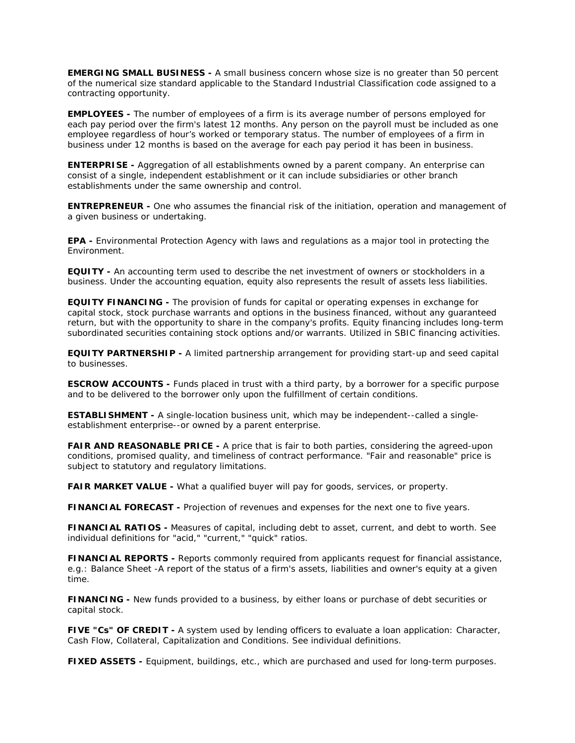**EMERGING SMALL BUSINESS -** A small business concern whose size is no greater than 50 percent of the numerical size standard applicable to the Standard Industrial Classification code assigned to a contracting opportunity.

**EMPLOYEES -** The number of employees of a firm is its average number of persons employed for each pay period over the firm's latest 12 months. Any person on the payroll must be included as one employee regardless of hour's worked or temporary status. The number of employees of a firm in business under 12 months is based on the average for each pay period it has been in business.

**ENTERPRISE -** Aggregation of all establishments owned by a parent company. An enterprise can consist of a single, independent establishment or it can include subsidiaries or other branch establishments under the same ownership and control.

**ENTREPRENEUR -** One who assumes the financial risk of the initiation, operation and management of a given business or undertaking.

**EPA -** Environmental Protection Agency with laws and regulations as a major tool in protecting the Environment.

**EQUITY -** An accounting term used to describe the net investment of owners or stockholders in a business. Under the accounting equation, equity also represents the result of assets less liabilities.

**EQUITY FINANCING -** The provision of funds for capital or operating expenses in exchange for capital stock, stock purchase warrants and options in the business financed, without any guaranteed return, but with the opportunity to share in the company's profits. Equity financing includes long-term subordinated securities containing stock options and/or warrants. Utilized in SBIC financing activities.

**EQUITY PARTNERSHIP -** A limited partnership arrangement for providing start-up and seed capital to businesses.

**ESCROW ACCOUNTS -** Funds placed in trust with a third party, by a borrower for a specific purpose and to be delivered to the borrower only upon the fulfillment of certain conditions.

**ESTABLISHMENT -** A single-location business unit, which may be independent--called a singleestablishment enterprise--or owned by a parent enterprise.

**FAIR AND REASONABLE PRICE -** A price that is fair to both parties, considering the agreed-upon conditions, promised quality, and timeliness of contract performance. "Fair and reasonable" price is subject to statutory and regulatory limitations.

**FAIR MARKET VALUE -** What a qualified buyer will pay for goods, services, or property.

**FINANCIAL FORECAST -** Projection of revenues and expenses for the next one to five years.

**FINANCIAL RATIOS -** Measures of capital, including debt to asset, current, and debt to worth. See individual definitions for "acid," "current," "quick" ratios.

**FINANCIAL REPORTS -** Reports commonly required from applicants request for financial assistance, e.g.: Balance Sheet -A report of the status of a firm's assets, liabilities and owner's equity at a given time.

**FINANCING -** New funds provided to a business, by either loans or purchase of debt securities or capital stock.

**FIVE "Cs" OF CREDIT -** A system used by lending officers to evaluate a loan application: Character, Cash Flow, Collateral, Capitalization and Conditions. See individual definitions.

**FIXED ASSETS -** Equipment, buildings, etc., which are purchased and used for long-term purposes.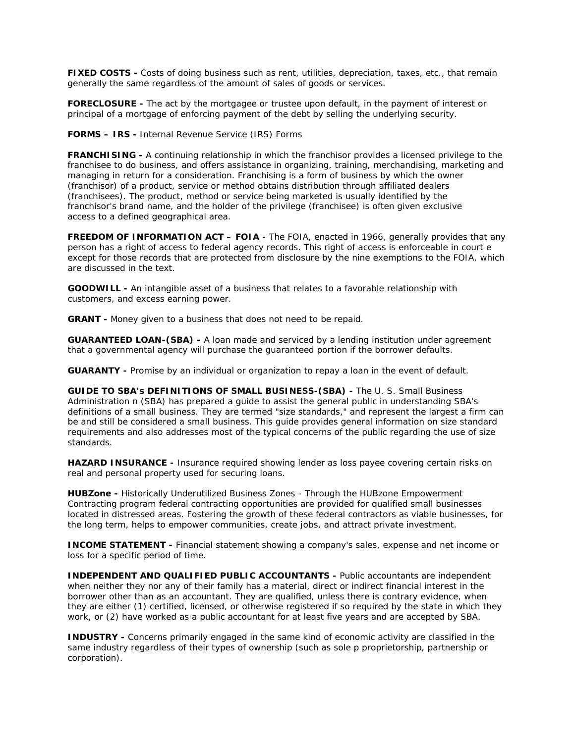**FIXED COSTS -** Costs of doing business such as rent, utilities, depreciation, taxes, etc., that remain generally the same regardless of the amount of sales of goods or services.

**FORECLOSURE -** The act by the mortgagee or trustee upon default, in the payment of interest or principal of a mortgage of enforcing payment of the debt by selling the underlying security.

**FORMS – IRS -** Internal Revenue Service (IRS) Forms

**FRANCHISING -** A continuing relationship in which the franchisor provides a licensed privilege to the franchisee to do business, and offers assistance in organizing, training, merchandising, marketing and managing in return for a consideration. Franchising is a form of business by which the owner (franchisor) of a product, service or method obtains distribution through affiliated dealers (franchisees). The product, method or service being marketed is usually identified by the franchisor's brand name, and the holder of the privilege (franchisee) is often given exclusive access to a defined geographical area.

**FREEDOM OF INFORMATION ACT – FOIA -** The FOIA, enacted in 1966, generally provides that any person has a right of access to federal agency records. This right of access is enforceable in court e except for those records that are protected from disclosure by the nine exemptions to the FOIA, which are discussed in the text.

**GOODWILL -** An intangible asset of a business that relates to a favorable relationship with customers, and excess earning power.

**GRANT -** Money given to a business that does not need to be repaid.

**GUARANTEED LOAN-(SBA) -** A loan made and serviced by a lending institution under agreement that a governmental agency will purchase the guaranteed portion if the borrower defaults.

**GUARANTY -** Promise by an individual or organization to repay a loan in the event of default.

**GUIDE TO SBA's DEFINITIONS OF SMALL BUSINESS-(SBA) -** The U. S. Small Business Administration n (SBA) has prepared a guide to assist the general public in understanding SBA's definitions of a small business. They are termed "size standards," and represent the largest a firm can be and still be considered a small business. This guide provides general information on size standard requirements and also addresses most of the typical concerns of the public regarding the use of size standards.

**HAZARD INSURANCE -** Insurance required showing lender as loss payee covering certain risks on real and personal property used for securing loans.

**HUBZone -** Historically Underutilized Business Zones - Through the HUBzone Empowerment Contracting program federal contracting opportunities are provided for qualified small businesses located in distressed areas. Fostering the growth of these federal contractors as viable businesses, for the long term, helps to empower communities, create jobs, and attract private investment.

**INCOME STATEMENT -** Financial statement showing a company's sales, expense and net income or loss for a specific period of time.

**INDEPENDENT AND QUALIFIED PUBLIC ACCOUNTANTS -** Public accountants are independent when neither they nor any of their family has a material, direct or indirect financial interest in the borrower other than as an accountant. They are qualified, unless there is contrary evidence, when they are either (1) certified, licensed, or otherwise registered if so required by the state in which they work, or (2) have worked as a public accountant for at least five years and are accepted by SBA.

**INDUSTRY -** Concerns primarily engaged in the same kind of economic activity are classified in the same industry regardless of their types of ownership (such as sole p proprietorship, partnership or corporation).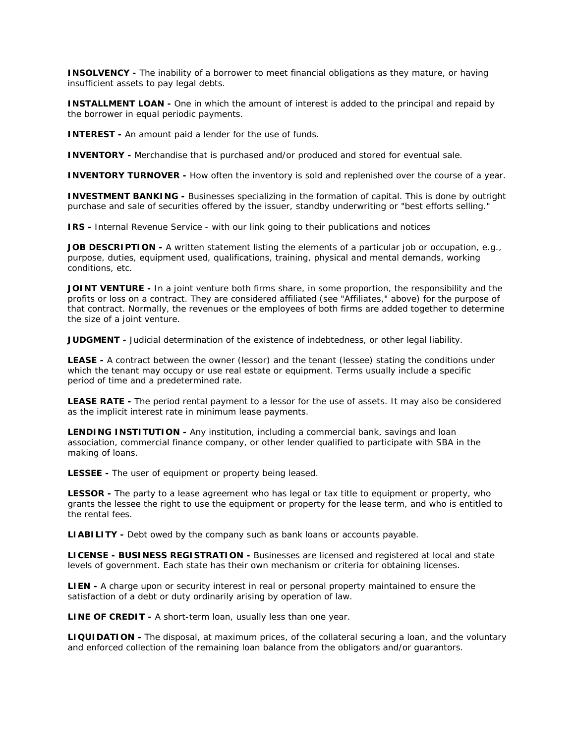**INSOLVENCY -** The inability of a borrower to meet financial obligations as they mature, or having insufficient assets to pay legal debts.

**INSTALLMENT LOAN -** One in which the amount of interest is added to the principal and repaid by the borrower in equal periodic payments.

**INTEREST -** An amount paid a lender for the use of funds.

**INVENTORY -** Merchandise that is purchased and/or produced and stored for eventual sale.

**INVENTORY TURNOVER -** How often the inventory is sold and replenished over the course of a year.

**INVESTMENT BANKING -** Businesses specializing in the formation of capital. This is done by outright purchase and sale of securities offered by the issuer, standby underwriting or "best efforts selling."

**IRS -** Internal Revenue Service - with our link going to their publications and notices

**JOB DESCRIPTION -** A written statement listing the elements of a particular job or occupation, e.g., purpose, duties, equipment used, qualifications, training, physical and mental demands, working conditions, etc.

**JOINT VENTURE -** In a joint venture both firms share, in some proportion, the responsibility and the profits or loss on a contract. They are considered affiliated (see "Affiliates," above) for the purpose of that contract. Normally, the revenues or the employees of both firms are added together to determine the size of a joint venture.

**JUDGMENT -** Judicial determination of the existence of indebtedness, or other legal liability.

**LEASE -** A contract between the owner (lessor) and the tenant (lessee) stating the conditions under which the tenant may occupy or use real estate or equipment. Terms usually include a specific period of time and a predetermined rate.

**LEASE RATE -** The period rental payment to a lessor for the use of assets. It may also be considered as the implicit interest rate in minimum lease payments.

**LENDING INSTITUTION -** Any institution, including a commercial bank, savings and loan association, commercial finance company, or other lender qualified to participate with SBA in the making of loans.

**LESSEE -** The user of equipment or property being leased.

**LESSOR -** The party to a lease agreement who has legal or tax title to equipment or property, who grants the lessee the right to use the equipment or property for the lease term, and who is entitled to the rental fees.

**LIABILITY -** Debt owed by the company such as bank loans or accounts payable.

**LICENSE - BUSINESS REGISTRATION -** Businesses are licensed and registered at local and state levels of government. Each state has their own mechanism or criteria for obtaining licenses.

**LIEN -** A charge upon or security interest in real or personal property maintained to ensure the satisfaction of a debt or duty ordinarily arising by operation of law.

**LINE OF CREDIT -** A short-term loan, usually less than one year.

**LIQUIDATION -** The disposal, at maximum prices, of the collateral securing a loan, and the voluntary and enforced collection of the remaining loan balance from the obligators and/or guarantors.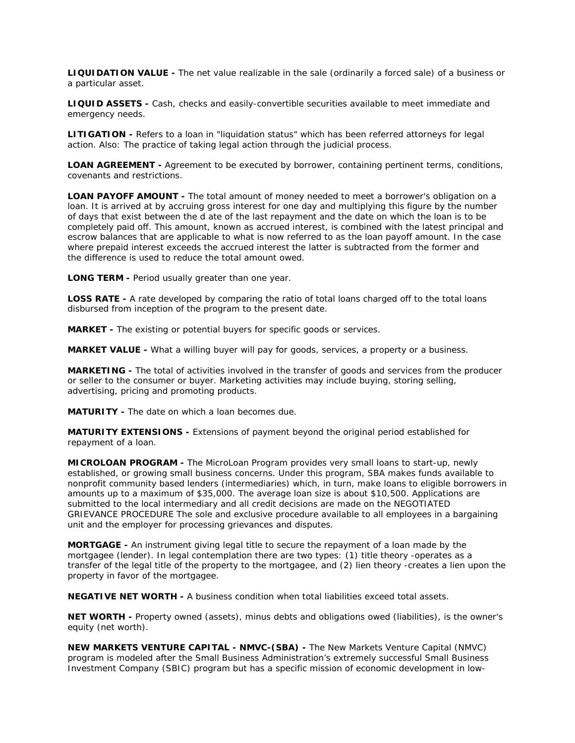**LIQUIDATION VALUE -** The net value realizable in the sale (ordinarily a forced sale) of a business or a particular asset.

**LIQUID ASSETS -** Cash, checks and easily-convertible securities available to meet immediate and emergency needs.

**LITIGATION -** Refers to a loan in "liquidation status" which has been referred attorneys for legal action. Also: The practice of taking legal action through the judicial process.

**LOAN AGREEMENT -** Agreement to be executed by borrower, containing pertinent terms, conditions, covenants and restrictions.

**LOAN PAYOFF AMOUNT -** The total amount of money needed to meet a borrower's obligation on a loan. It is arrived at by accruing gross interest for one day and multiplying this figure by the number of days that exist between the d ate of the last repayment and the date on which the loan is to be completely paid off. This amount, known as accrued interest, is combined with the latest principal and escrow balances that are applicable to what is now referred to as the loan payoff amount. In the case where prepaid interest exceeds the accrued interest the latter is subtracted from the former and the difference is used to reduce the total amount owed.

**LONG TERM -** Period usually greater than one year.

**LOSS RATE** - A rate developed by comparing the ratio of total loans charged off to the total loans disbursed from inception of the program to the present date.

**MARKET -** The existing or potential buyers for specific goods or services.

**MARKET VALUE -** What a willing buyer will pay for goods, services, a property or a business.

**MARKETING -** The total of activities involved in the transfer of goods and services from the producer or seller to the consumer or buyer. Marketing activities may include buying, storing selling, advertising, pricing and promoting products.

**MATURITY -** The date on which a loan becomes due.

**MATURITY EXTENSIONS -** Extensions of payment beyond the original period established for repayment of a loan.

**MICROLOAN PROGRAM -** The MicroLoan Program provides very small loans to start-up, newly established, or growing small business concerns. Under this program, SBA makes funds available to nonprofit community based lenders (intermediaries) which, in turn, make loans to eligible borrowers in amounts up to a maximum of \$35,000. The average loan size is about \$10,500. Applications are submitted to the local intermediary and all credit decisions are made on the NEGOTIATED GRIEVANCE PROCEDURE The sole and exclusive procedure available to all employees in a bargaining unit and the employer for processing grievances and disputes.

**MORTGAGE -** An instrument giving legal title to secure the repayment of a loan made by the mortgagee (lender). In legal contemplation there are two types: (1) title theory -operates as a transfer of the legal title of the property to the mortgagee, and (2) lien theory -creates a lien upon the property in favor of the mortgagee.

**NEGATIVE NET WORTH -** A business condition when total liabilities exceed total assets.

**NET WORTH -** Property owned (assets), minus debts and obligations owed (liabilities), is the owner's equity (net worth).

**NEW MARKETS VENTURE CAPITAL - NMVC-(SBA) -** The New Markets Venture Capital (NMVC) program is modeled after the Small Business Administration's extremely successful Small Business Investment Company (SBIC) program but has a specific mission of economic development in low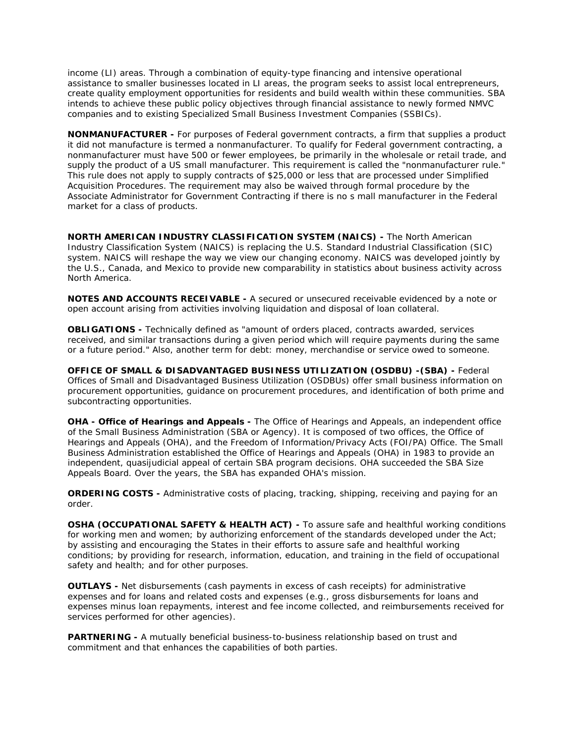income (LI) areas. Through a combination of equity-type financing and intensive operational assistance to smaller businesses located in LI areas, the program seeks to assist local entrepreneurs, create quality employment opportunities for residents and build wealth within these communities. SBA intends to achieve these public policy objectives through financial assistance to newly formed NMVC companies and to existing Specialized Small Business Investment Companies (SSBICs).

**NONMANUFACTURER -** For purposes of Federal government contracts, a firm that supplies a product it did not manufacture is termed a nonmanufacturer. To qualify for Federal government contracting, a nonmanufacturer must have 500 or fewer employees, be primarily in the wholesale or retail trade, and supply the product of a US small manufacturer. This requirement is called the "nonmanufacturer rule." This rule does not apply to supply contracts of \$25,000 or less that are processed under Simplified Acquisition Procedures. The requirement may also be waived through formal procedure by the Associate Administrator for Government Contracting if there is no s mall manufacturer in the Federal market for a class of products.

**NORTH AMERICAN INDUSTRY CLASSIFICATION SYSTEM (NAICS) -** The North American Industry Classification System (NAICS) is replacing the U.S. Standard Industrial Classification (SIC) system. NAICS will reshape the way we view our changing economy. NAICS was developed jointly by the U.S., Canada, and Mexico to provide new comparability in statistics about business activity across North America.

**NOTES AND ACCOUNTS RECEIVABLE -** A secured or unsecured receivable evidenced by a note or open account arising from activities involving liquidation and disposal of loan collateral.

**OBLIGATIONS -** Technically defined as "amount of orders placed, contracts awarded, services received, and similar transactions during a given period which will require payments during the same or a future period." Also, another term for debt: money, merchandise or service owed to someone.

**OFFICE OF SMALL & DISADVANTAGED BUSINESS UTILIZATION (OSDBU) -(SBA) -** Federal Offices of Small and Disadvantaged Business Utilization (OSDBUs) offer small business information on procurement opportunities, guidance on procurement procedures, and identification of both prime and subcontracting opportunities.

**OHA - Office of Hearings and Appeals -** The Office of Hearings and Appeals, an independent office of the Small Business Administration (SBA or Agency). It is composed of two offices, the Office of Hearings and Appeals (OHA), and the Freedom of Information/Privacy Acts (FOI/PA) Office. The Small Business Administration established the Office of Hearings and Appeals (OHA) in 1983 to provide an independent, quasijudicial appeal of certain SBA program decisions. OHA succeeded the SBA Size Appeals Board. Over the years, the SBA has expanded OHA's mission.

**ORDERING COSTS -** Administrative costs of placing, tracking, shipping, receiving and paying for an order.

**OSHA (OCCUPATIONAL SAFETY & HEALTH ACT) -** To assure safe and healthful working conditions for working men and women; by authorizing enforcement of the standards developed under the Act; by assisting and encouraging the States in their efforts to assure safe and healthful working conditions; by providing for research, information, education, and training in the field of occupational safety and health; and for other purposes.

**OUTLAYS -** Net disbursements (cash payments in excess of cash receipts) for administrative expenses and for loans and related costs and expenses (e.g., gross disbursements for loans and expenses minus loan repayments, interest and fee income collected, and reimbursements received for services performed for other agencies).

**PARTNERING -** A mutually beneficial business-to-business relationship based on trust and commitment and that enhances the capabilities of both parties.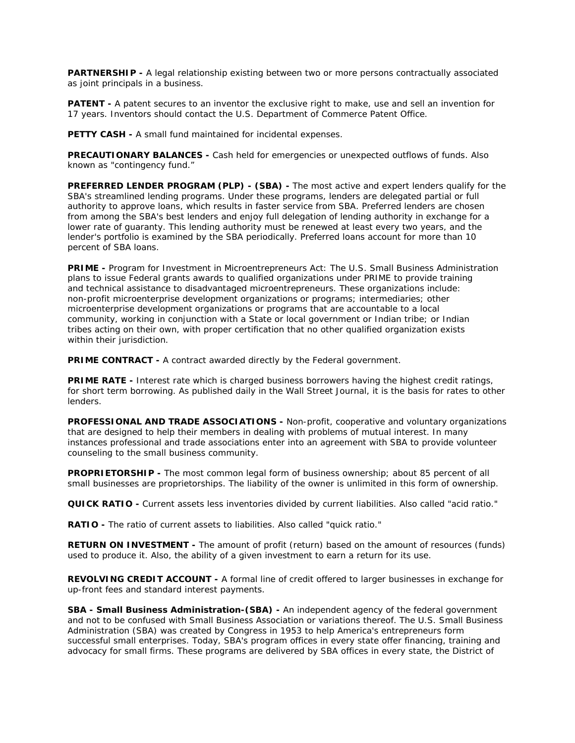**PARTNERSHIP -** A legal relationship existing between two or more persons contractually associated as joint principals in a business.

**PATENT -** A patent secures to an inventor the exclusive right to make, use and sell an invention for 17 years. Inventors should contact the U.S. Department of Commerce Patent Office.

**PETTY CASH -** A small fund maintained for incidental expenses.

**PRECAUTIONARY BALANCES -** Cash held for emergencies or unexpected outflows of funds. Also known as "contingency fund."

**PREFERRED LENDER PROGRAM (PLP) - (SBA) -** The most active and expert lenders qualify for the SBA's streamlined lending programs. Under these programs, lenders are delegated partial or full authority to approve loans, which results in faster service from SBA. Preferred lenders are chosen from among the SBA's best lenders and enjoy full delegation of lending authority in exchange for a lower rate of guaranty. This lending authority must be renewed at least every two years, and the lender's portfolio is examined by the SBA periodically. Preferred loans account for more than 10 percent of SBA loans.

**PRIME -** Program for Investment in Microentrepreneurs Act: The U.S. Small Business Administration plans to issue Federal grants awards to qualified organizations under PRIME to provide training and technical assistance to disadvantaged microentrepreneurs. These organizations include: non-profit microenterprise development organizations or programs; intermediaries; other microenterprise development organizations or programs that are accountable to a local community, working in conjunction with a State or local government or Indian tribe; or Indian tribes acting on their own, with proper certification that no other qualified organization exists within their jurisdiction.

**PRIME CONTRACT -** A contract awarded directly by the Federal government.

**PRIME RATE -** Interest rate which is charged business borrowers having the highest credit ratings, for short term borrowing. As published daily in the Wall Street Journal, it is the basis for rates to other lenders.

**PROFESSIONAL AND TRADE ASSOCIATIONS -** Non-profit, cooperative and voluntary organizations that are designed to help their members in dealing with problems of mutual interest. In many instances professional and trade associations enter into an agreement with SBA to provide volunteer counseling to the small business community.

**PROPRIETORSHIP** - The most common legal form of business ownership; about 85 percent of all small businesses are proprietorships. The liability of the owner is unlimited in this form of ownership.

**QUICK RATIO -** Current assets less inventories divided by current liabilities. Also called "acid ratio."

**RATIO -** The ratio of current assets to liabilities. Also called "quick ratio."

**RETURN ON INVESTMENT -** The amount of profit (return) based on the amount of resources (funds) used to produce it. Also, the ability of a given investment to earn a return for its use.

**REVOLVING CREDIT ACCOUNT -** A formal line of credit offered to larger businesses in exchange for up-front fees and standard interest payments.

**SBA - Small Business Administration-(SBA) -** An independent agency of the federal government and not to be confused with Small Business Association or variations thereof. The U.S. Small Business Administration (SBA) was created by Congress in 1953 to help America's entrepreneurs form successful small enterprises. Today, SBA's program offices in every state offer financing, training and advocacy for small firms. These programs are delivered by SBA offices in every state, the District of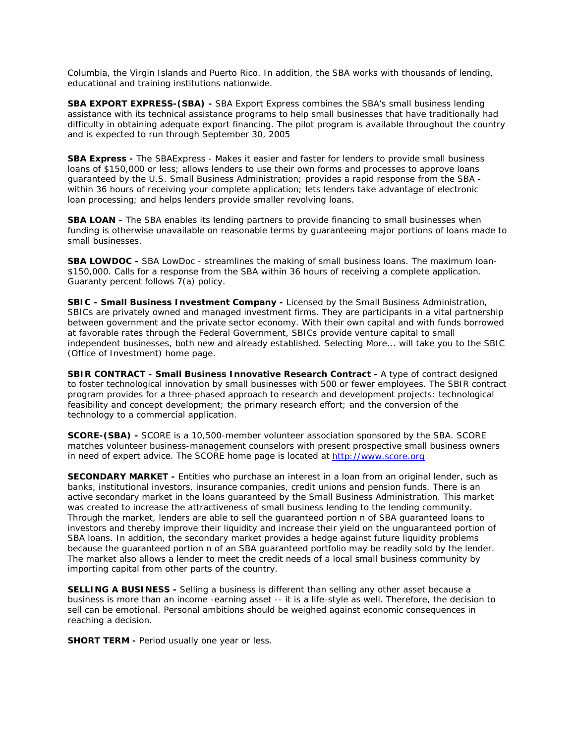Columbia, the Virgin Islands and Puerto Rico. In addition, the SBA works with thousands of lending, educational and training institutions nationwide.

**SBA EXPORT EXPRESS-(SBA) -** SBA Export Express combines the SBA's small business lending assistance with its technical assistance programs to help small businesses that have traditionally had difficulty in obtaining adequate export financing. The pilot program is available throughout the country and is expected to run through September 30, 2005

**SBA Express -** The SBAExpress - Makes it easier and faster for lenders to provide small business loans of \$150,000 or less; allows lenders to use their own forms and processes to approve loans guaranteed by the U.S. Small Business Administration; provides a rapid response from the SBA within 36 hours of receiving your complete application; lets lenders take advantage of electronic loan processing; and helps lenders provide smaller revolving loans.

**SBA LOAN -** The SBA enables its lending partners to provide financing to small businesses when funding is otherwise unavailable on reasonable terms by guaranteeing major portions of loans made to small businesses.

**SBA LOWDOC -** SBA LowDoc - streamlines the making of small business loans. The maximum loan- \$150,000. Calls for a response from the SBA within 36 hours of receiving a complete application. Guaranty percent follows 7(a) policy.

**SBIC - Small Business Investment Company -** Licensed by the Small Business Administration, SBICs are privately owned and managed investment firms. They are participants in a vital partnership between government and the private sector economy. With their own capital and with funds borrowed at favorable rates through the Federal Government, SBICs provide venture capital to small independent businesses, both new and already established. Selecting More... will take you to the SBIC (Office of Investment) home page.

**SBIR CONTRACT - Small Business Innovative Research Contract -** A type of contract designed to foster technological innovation by small businesses with 500 or fewer employees. The SBIR contract program provides for a three-phased approach to research and development projects: technological feasibility and concept development; the primary research effort; and the conversion of the technology to a commercial application.

**SCORE-(SBA) -** SCORE is a 10,500-member volunteer association sponsored by the SBA. SCORE matches volunteer business-management counselors with present prospective small business owners in need of expert advice. The SCORE home page is located at [http://www.score.org](http://www.score.org/)

**SECONDARY MARKET -** Entities who purchase an interest in a loan from an original lender, such as banks, institutional investors, insurance companies, credit unions and pension funds. There is an active secondary market in the loans guaranteed by the Small Business Administration. This market was created to increase the attractiveness of small business lending to the lending community. Through the market, lenders are able to sell the guaranteed portion n of SBA guaranteed loans to investors and thereby improve their liquidity and increase their yield on the unguaranteed portion of SBA loans. In addition, the secondary market provides a hedge against future liquidity problems because the guaranteed portion n of an SBA guaranteed portfolio may be readily sold by the lender. The market also allows a lender to meet the credit needs of a local small business community by importing capital from other parts of the country.

**SELLING A BUSINESS -** Selling a business is different than selling any other asset because a business is more than an income -earning asset -- it is a life-style as well. Therefore, the decision to sell can be emotional. Personal ambitions should be weighed against economic consequences in reaching a decision.

**SHORT TERM -** Period usually one year or less.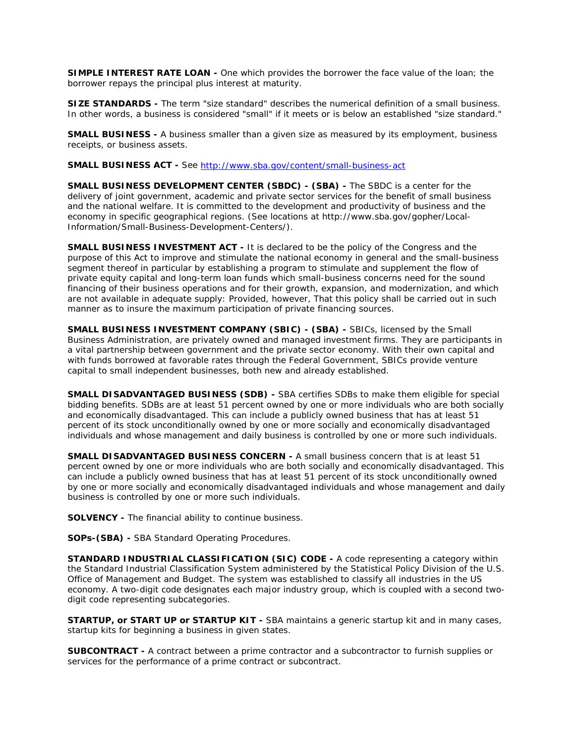**SIMPLE INTEREST RATE LOAN -** One which provides the borrower the face value of the loan; the borrower repays the principal plus interest at maturity.

**SIZE STANDARDS -** The term "size standard" describes the numerical definition of a small business. In other words, a business is considered "small" if it meets or is below an established "size standard."

**SMALL BUSINESS -** A business smaller than a given size as measured by its employment, business receipts, or business assets.

**SMALL BUSINESS ACT -** See <http://www.sba.gov/content/small-business-act>

**SMALL BUSINESS DEVELOPMENT CENTER (SBDC) - (SBA) -** The SBDC is a center for the delivery of joint government, academic and private sector services for the benefit of small business and the national welfare. It is committed to the development and productivity of business and the economy in specific geographical regions. (See locations at http://www.sba.gov/gopher/Local-Information/Small-Business-Development-Centers/).

**SMALL BUSINESS INVESTMENT ACT -** It is declared to be the policy of the Congress and the purpose of this Act to improve and stimulate the national economy in general and the small-business segment thereof in particular by establishing a program to stimulate and supplement the flow of private equity capital and long-term loan funds which small-business concerns need for the sound financing of their business operations and for their growth, expansion, and modernization, and which are not available in adequate supply: Provided, however, That this policy shall be carried out in such manner as to insure the maximum participation of private financing sources.

**SMALL BUSINESS INVESTMENT COMPANY (SBIC) - (SBA) -** SBICs, licensed by the Small Business Administration, are privately owned and managed investment firms. They are participants in a vital partnership between government and the private sector economy. With their own capital and with funds borrowed at favorable rates through the Federal Government, SBICs provide venture capital to small independent businesses, both new and already established.

**SMALL DISADVANTAGED BUSINESS (SDB) -** SBA certifies SDBs to make them eligible for special bidding benefits. SDBs are at least 51 percent owned by one or more individuals who are both socially and economically disadvantaged. This can include a publicly owned business that has at least 51 percent of its stock unconditionally owned by one or more socially and economically disadvantaged individuals and whose management and daily business is controlled by one or more such individuals.

**SMALL DISADVANTAGED BUSINESS CONCERN -** A small business concern that is at least 51 percent owned by one or more individuals who are both socially and economically disadvantaged. This can include a publicly owned business that has at least 51 percent of its stock unconditionally owned by one or more socially and economically disadvantaged individuals and whose management and daily business is controlled by one or more such individuals.

**SOLVENCY -** The financial ability to continue business.

**SOPs-(SBA) -** SBA Standard Operating Procedures.

**STANDARD INDUSTRIAL CLASSIFICATION (SIC) CODE -** A code representing a category within the Standard Industrial Classification System administered by the Statistical Policy Division of the U.S. Office of Management and Budget. The system was established to classify all industries in the US economy. A two-digit code designates each major industry group, which is coupled with a second twodigit code representing subcategories.

**STARTUP, or START UP or STARTUP KIT -** SBA maintains a generic startup kit and in many cases, startup kits for beginning a business in given states.

**SUBCONTRACT -** A contract between a prime contractor and a subcontractor to furnish supplies or services for the performance of a prime contract or subcontract.